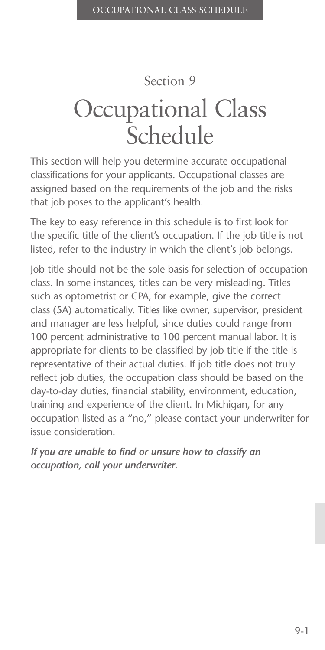## Section 9

# Occupational Class Schedule

This section will help you determine accurate occupational classifications for your applicants. Occupational classes are assigned based on the requirements of the job and the risks that job poses to the applicant's health.

The key to easy reference in this schedule is to first look for the specific title of the client's occupation. If the job title is not listed, refer to the industry in which the client's job belongs.

Job title should not be the sole basis for selection of occupation class. In some instances, titles can be very misleading. Titles such as optometrist or CPA, for example, give the correct class (5A) automatically. Titles like owner, supervisor, president and manager are less helpful, since duties could range from 100 percent administrative to 100 percent manual labor. It is appropriate for clients to be classified by job title if the title is representative of their actual duties. If job title does not truly reflect job duties, the occupation class should be based on the day-to-day duties, financial stability, environment, education, training and experience of the client. In Michigan, for any occupation listed as a "no," please contact your underwriter for issue consideration.

*If you are unable to find or unsure how to classify an occupation, call your underwriter.*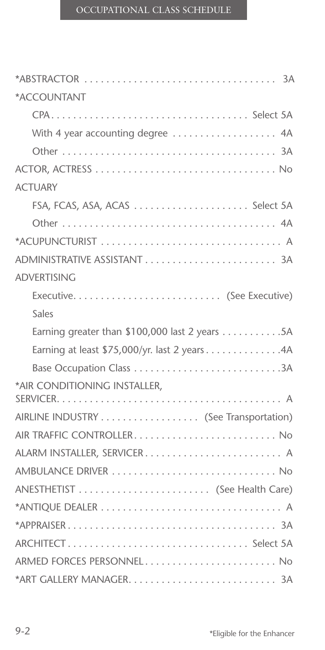| *ACCOUNTANT                                    |
|------------------------------------------------|
|                                                |
| With 4 year accounting degree  4A              |
|                                                |
|                                                |
| <b>ACTUARY</b>                                 |
| FSA, FCAS, ASA, ACAS  Select 5A                |
|                                                |
|                                                |
|                                                |
| <b>ADVERTISING</b>                             |
|                                                |
| Sales                                          |
| Earning greater than \$100,000 last 2 years 5A |
| Earning at least \$75,000/yr. last 2 years 4A  |
| Base Occupation Class 3A                       |
| *AIR CONDITIONING INSTALLER,                   |
|                                                |
| AIRLINE INDUSTRY (See Transportation)          |
| AIR TRAFFIC CONTROLLER No                      |
| ALARM INSTALLER, SERVICER A                    |
|                                                |
|                                                |
|                                                |
|                                                |
| ARCHITECT Select 5A                            |
| ARMED FORCES PERSONNEL No                      |
|                                                |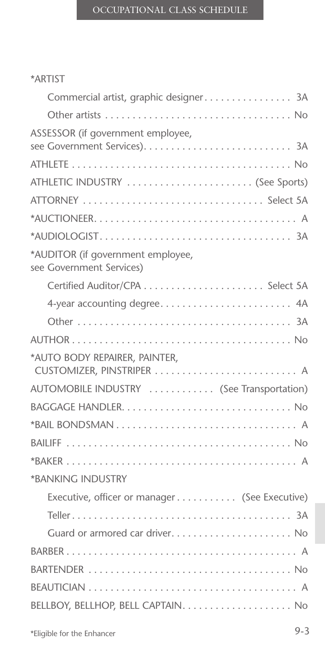#### \*ARTIST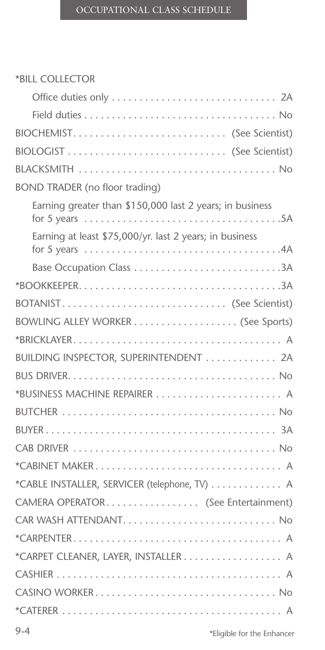#### \*BILL COLLECTOR

| BIOCHEMIST (See Scientist)                                                                                                                                 |
|------------------------------------------------------------------------------------------------------------------------------------------------------------|
|                                                                                                                                                            |
|                                                                                                                                                            |
| <b>BOND TRADER (no floor trading)</b>                                                                                                                      |
| Earning greater than \$150,000 last 2 years; in business<br>for 5 years $\dots \dots \dots \dots \dots \dots \dots \dots \dots \dots \dots \dots \dots$ 5A |
| Earning at least \$75,000/yr. last 2 years; in business                                                                                                    |
|                                                                                                                                                            |
|                                                                                                                                                            |
| BOTANIST (See Scientist)                                                                                                                                   |
|                                                                                                                                                            |
|                                                                                                                                                            |
| BUILDING INSPECTOR, SUPERINTENDENT 2A                                                                                                                      |
|                                                                                                                                                            |
| *BUSINESS MACHINE REPAIRER  A                                                                                                                              |
|                                                                                                                                                            |
|                                                                                                                                                            |
|                                                                                                                                                            |
|                                                                                                                                                            |
| *CABLE INSTALLER, SERVICER (telephone, TV)  A                                                                                                              |
| CAMERA OPERATOR (See Entertainment)                                                                                                                        |
| CAR WASH ATTENDANT No                                                                                                                                      |
|                                                                                                                                                            |
|                                                                                                                                                            |
|                                                                                                                                                            |
|                                                                                                                                                            |
|                                                                                                                                                            |
|                                                                                                                                                            |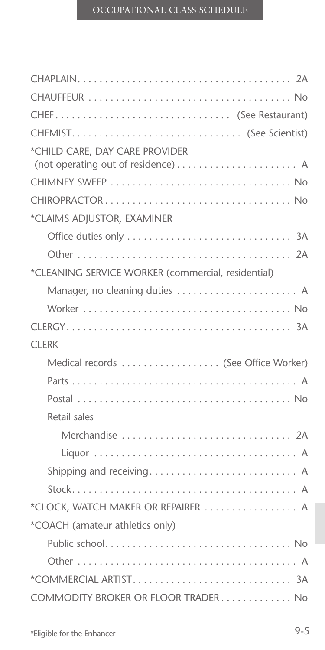| *CHILD CARE, DAY CARE PROVIDER<br>(not operating out of residence) A |
|----------------------------------------------------------------------|
|                                                                      |
|                                                                      |
| *CLAIMS ADJUSTOR, EXAMINER                                           |
|                                                                      |
|                                                                      |
| *CLEANING SERVICE WORKER (commercial, residential)                   |
| Manager, no cleaning duties  A                                       |
|                                                                      |
|                                                                      |
| <b>CLERK</b>                                                         |
| Medical records  (See Office Worker)                                 |
|                                                                      |
|                                                                      |
| Retail sales                                                         |
| Merchandise  2A                                                      |
|                                                                      |
| Shipping and receiving A                                             |
|                                                                      |
| *CLOCK, WATCH MAKER OR REPAIRER  A                                   |
| *COACH (amateur athletics only)                                      |
|                                                                      |
|                                                                      |
|                                                                      |
| COMMODITY BROKER OR FLOOR TRADER No                                  |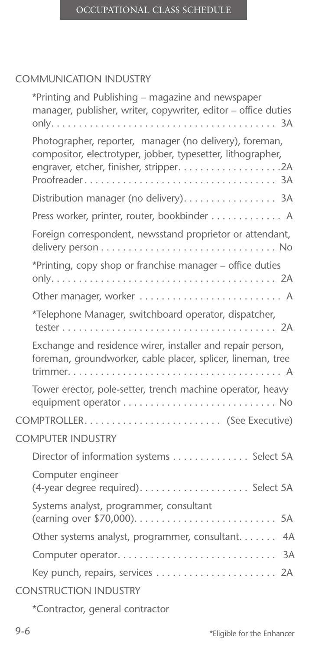#### COMMUNICATION INDUSTRY

| *Printing and Publishing – magazine and newspaper<br>manager, publisher, writer, copywriter, editor - office duties       |
|---------------------------------------------------------------------------------------------------------------------------|
| Photographer, reporter, manager (no delivery), foreman,<br>compositor, electrotyper, jobber, typesetter, lithographer,    |
| Distribution manager (no delivery). 3A                                                                                    |
| Press worker, printer, router, bookbinder A                                                                               |
| Foreign correspondent, newsstand proprietor or attendant,                                                                 |
| *Printing, copy shop or franchise manager - office duties                                                                 |
| Other manager, worker  A                                                                                                  |
| *Telephone Manager, switchboard operator, dispatcher,                                                                     |
| Exchange and residence wirer, installer and repair person,<br>foreman, groundworker, cable placer, splicer, lineman, tree |
| Tower erector, pole-setter, trench machine operator, heavy                                                                |
| COMPTROLLER (See Executive)                                                                                               |
| <b>COMPUTER INDUSTRY</b>                                                                                                  |
| Director of information systems Select 5A                                                                                 |
| Computer engineer                                                                                                         |
| Systems analyst, programmer, consultant                                                                                   |
| Other systems analyst, programmer, consultant. 4A                                                                         |
|                                                                                                                           |
| Key punch, repairs, services  2A                                                                                          |
| <b>CONSTRUCTION INDUSTRY</b>                                                                                              |
| *Contractor, general contractor                                                                                           |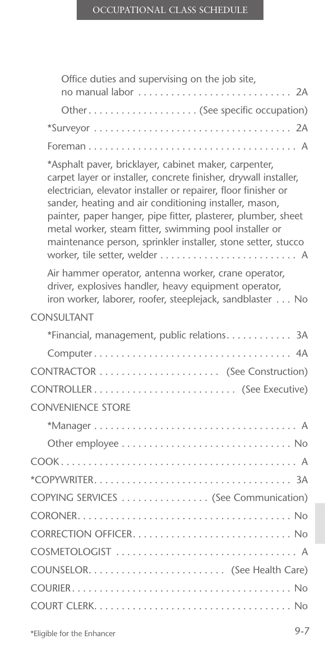| Office duties and supervising on the job site,<br>no manual labor  2A                                                                                                                                                                                                                                                                                                                                                                             |
|---------------------------------------------------------------------------------------------------------------------------------------------------------------------------------------------------------------------------------------------------------------------------------------------------------------------------------------------------------------------------------------------------------------------------------------------------|
| Other (See specific occupation)                                                                                                                                                                                                                                                                                                                                                                                                                   |
|                                                                                                                                                                                                                                                                                                                                                                                                                                                   |
|                                                                                                                                                                                                                                                                                                                                                                                                                                                   |
| *Asphalt paver, bricklayer, cabinet maker, carpenter,<br>carpet layer or installer, concrete finisher, drywall installer,<br>electrician, elevator installer or repairer, floor finisher or<br>sander, heating and air conditioning installer, mason,<br>painter, paper hanger, pipe fitter, plasterer, plumber, sheet<br>metal worker, steam fitter, swimming pool installer or<br>maintenance person, sprinkler installer, stone setter, stucco |
| Air hammer operator, antenna worker, crane operator,<br>driver, explosives handler, heavy equipment operator,<br>iron worker, laborer, roofer, steeplejack, sandblaster No                                                                                                                                                                                                                                                                        |
| <b>CONSULTANT</b>                                                                                                                                                                                                                                                                                                                                                                                                                                 |
| *Financial, management, public relations 3A                                                                                                                                                                                                                                                                                                                                                                                                       |
|                                                                                                                                                                                                                                                                                                                                                                                                                                                   |
|                                                                                                                                                                                                                                                                                                                                                                                                                                                   |
|                                                                                                                                                                                                                                                                                                                                                                                                                                                   |
| <b>CONVENIENCE STORE</b>                                                                                                                                                                                                                                                                                                                                                                                                                          |
|                                                                                                                                                                                                                                                                                                                                                                                                                                                   |
|                                                                                                                                                                                                                                                                                                                                                                                                                                                   |
|                                                                                                                                                                                                                                                                                                                                                                                                                                                   |
|                                                                                                                                                                                                                                                                                                                                                                                                                                                   |
| COPYING SERVICES (See Communication)                                                                                                                                                                                                                                                                                                                                                                                                              |
|                                                                                                                                                                                                                                                                                                                                                                                                                                                   |
|                                                                                                                                                                                                                                                                                                                                                                                                                                                   |
|                                                                                                                                                                                                                                                                                                                                                                                                                                                   |
|                                                                                                                                                                                                                                                                                                                                                                                                                                                   |
|                                                                                                                                                                                                                                                                                                                                                                                                                                                   |
|                                                                                                                                                                                                                                                                                                                                                                                                                                                   |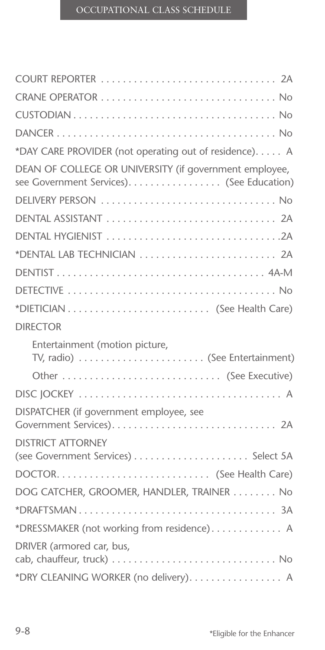| *DAY CARE PROVIDER (not operating out of residence). A                                              |
|-----------------------------------------------------------------------------------------------------|
| DEAN OF COLLEGE OR UNIVERSITY (if government employee,<br>see Government Services). (See Education) |
| DELIVERY PERSON  No                                                                                 |
|                                                                                                     |
|                                                                                                     |
| *DENTAL LAB TECHNICIAN  2A                                                                          |
|                                                                                                     |
|                                                                                                     |
|                                                                                                     |
| <b>DIRECTOR</b>                                                                                     |
| Entertainment (motion picture,<br>TV, radio)  (See Entertainment)                                   |
| Other  (See Executive)                                                                              |
|                                                                                                     |
| DISPATCHER (if government employee, see                                                             |
| <b>DISTRICT ATTORNEY</b>                                                                            |
|                                                                                                     |
| DOG CATCHER, GROOMER, HANDLER, TRAINER  No                                                          |
|                                                                                                     |
|                                                                                                     |
| *DRESSMAKER (not working from residence) A                                                          |
| DRIVER (armored car, bus,                                                                           |
|                                                                                                     |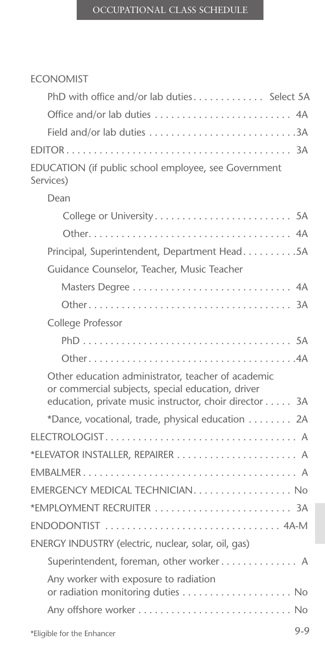| <b>ECONOMIST</b>                                                                                                                                                  |
|-------------------------------------------------------------------------------------------------------------------------------------------------------------------|
| PhD with office and/or lab duties Select 5A                                                                                                                       |
| Office and/or lab duties  4A                                                                                                                                      |
|                                                                                                                                                                   |
|                                                                                                                                                                   |
| EDUCATION (if public school employee, see Government<br>Services)                                                                                                 |
| Dean                                                                                                                                                              |
|                                                                                                                                                                   |
|                                                                                                                                                                   |
| Principal, Superintendent, Department Head5A                                                                                                                      |
| Guidance Counselor, Teacher, Music Teacher                                                                                                                        |
|                                                                                                                                                                   |
|                                                                                                                                                                   |
| College Professor                                                                                                                                                 |
|                                                                                                                                                                   |
|                                                                                                                                                                   |
| Other education administrator, teacher of academic<br>or commercial subjects, special education, driver<br>education, private music instructor, choir director 3A |
| *Dance, vocational, trade, physical education 2A                                                                                                                  |
|                                                                                                                                                                   |
| *ELEVATOR INSTALLER, REPAIRER  A                                                                                                                                  |
|                                                                                                                                                                   |
| $EMERGENCY MEDICALTECHNICIAN.$                                                                                                                                    |
| *EMPLOYMENT RECRUITER  3A                                                                                                                                         |
|                                                                                                                                                                   |
| ENERGY INDUSTRY (electric, nuclear, solar, oil, gas)                                                                                                              |
| Superintendent, foreman, other worker A                                                                                                                           |
| Any worker with exposure to radiation<br>or radiation monitoring duties  No                                                                                       |
|                                                                                                                                                                   |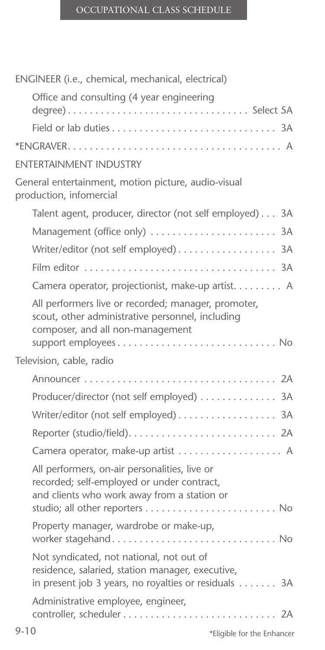| ENGINEER (i.e., chemical, mechanical, electrical)                                                                                                    |  |
|------------------------------------------------------------------------------------------------------------------------------------------------------|--|
| Office and consulting (4 year engineering                                                                                                            |  |
|                                                                                                                                                      |  |
|                                                                                                                                                      |  |
| <b><i>ENTERTAINMENT INDUSTRY</i></b>                                                                                                                 |  |
| General entertainment, motion picture, audio-visual<br>production, infomercial                                                                       |  |
| Talent agent, producer, director (not self employed) 3A                                                                                              |  |
| Management (office only)  3A                                                                                                                         |  |
| Writer/editor (not self employed) 3A                                                                                                                 |  |
|                                                                                                                                                      |  |
| Camera operator, projectionist, make-up artist. A                                                                                                    |  |
| All performers live or recorded; manager, promoter,<br>scout, other administrative personnel, including<br>composer, and all non-management          |  |
| Television, cable, radio                                                                                                                             |  |
|                                                                                                                                                      |  |
| Producer/director (not self employed) 3A                                                                                                             |  |
| Writer/editor (not self employed) 3A                                                                                                                 |  |
|                                                                                                                                                      |  |
|                                                                                                                                                      |  |
| All performers, on-air personalities, live or<br>recorded; self-employed or under contract,<br>and clients who work away from a station or           |  |
| Property manager, wardrobe or make-up,<br>worker stagehand No                                                                                        |  |
| Not syndicated, not national, not out of<br>residence, salaried, station manager, executive,<br>in present job 3 years, no royalties or residuals 3A |  |
| Administrative employee, engineer,                                                                                                                   |  |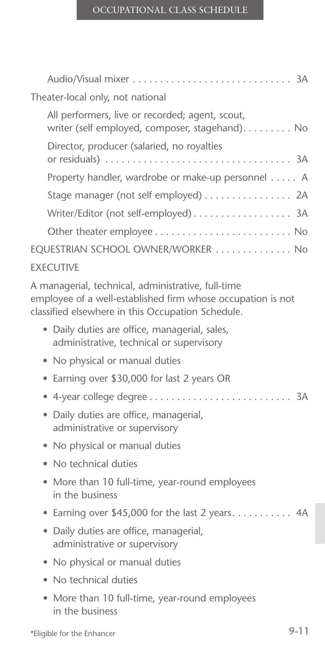| Theater-local only, not national |                                                                                                                                                                        |  |
|----------------------------------|------------------------------------------------------------------------------------------------------------------------------------------------------------------------|--|
|                                  | All performers, live or recorded; agent, scout,<br>writer (self employed, composer, stagehand). No                                                                     |  |
|                                  | Director, producer (salaried, no royalties                                                                                                                             |  |
|                                  | Property handler, wardrobe or make-up personnel A                                                                                                                      |  |
|                                  | Stage manager (not self employed) 2A                                                                                                                                   |  |
|                                  |                                                                                                                                                                        |  |
|                                  |                                                                                                                                                                        |  |
|                                  | EQUESTRIAN SCHOOL OWNER/WORKER  No                                                                                                                                     |  |
|                                  | <b>EXECUTIVE</b>                                                                                                                                                       |  |
|                                  | A managerial, technical, administrative, full-time<br>employee of a well-established firm whose occupation is not<br>classified elsewhere in this Occupation Schedule. |  |
|                                  | · Daily duties are office, managerial, sales,<br>administrative, technical or supervisory                                                                              |  |
|                                  | No physical or manual duties                                                                                                                                           |  |
|                                  | • Earning over \$30,000 for last 2 years OR                                                                                                                            |  |
|                                  |                                                                                                                                                                        |  |
|                                  | · Daily duties are office, managerial,<br>administrative or supervisory                                                                                                |  |
| ۰                                | No physical or manual duties                                                                                                                                           |  |
|                                  | No technical duties                                                                                                                                                    |  |
|                                  | • More than 10 full-time, year-round employees<br>in the business                                                                                                      |  |
| ۰                                | Earning over \$45,000 for the last 2 years 4A                                                                                                                          |  |
|                                  | • Daily duties are office, managerial,<br>administrative or supervisory                                                                                                |  |
| ۰                                | No physical or manual duties                                                                                                                                           |  |
|                                  | No technical duties                                                                                                                                                    |  |
|                                  | More than 10 full-time, year-round employees<br>in the business                                                                                                        |  |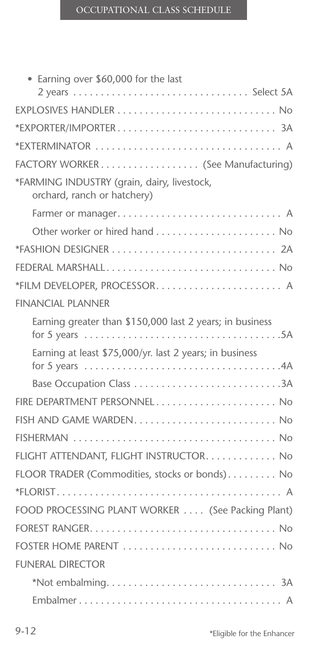| • Earning over \$60,000 for the last                                                                                                                       |
|------------------------------------------------------------------------------------------------------------------------------------------------------------|
| 2 years  Select 5A                                                                                                                                         |
|                                                                                                                                                            |
|                                                                                                                                                            |
| *EXTERMINATOR  A                                                                                                                                           |
| FACTORY WORKER (See Manufacturing)                                                                                                                         |
| *FARMING INDUSTRY (grain, dairy, livestock,<br>orchard, ranch or hatchery)                                                                                 |
|                                                                                                                                                            |
|                                                                                                                                                            |
|                                                                                                                                                            |
|                                                                                                                                                            |
|                                                                                                                                                            |
| <b>FINANCIAL PLANNER</b>                                                                                                                                   |
| Earning greater than \$150,000 last 2 years; in business<br>for 5 years $\dots \dots \dots \dots \dots \dots \dots \dots \dots \dots \dots \dots \dots$ 5A |
| Earning at least \$75,000/yr. last 2 years; in business                                                                                                    |
| Base Occupation Class 3A                                                                                                                                   |
| FIRE DEPARTMENT PERSONNEL No                                                                                                                               |
| FISH AND GAME WARDEN No                                                                                                                                    |
|                                                                                                                                                            |
| FLIGHT ATTENDANT, FLIGHT INSTRUCTOR. No                                                                                                                    |
| FLOOR TRADER (Commodities, stocks or bonds) No                                                                                                             |
|                                                                                                                                                            |
| FOOD PROCESSING PLANT WORKER  (See Packing Plant)                                                                                                          |
|                                                                                                                                                            |
| FOSTER HOME PARENT  No                                                                                                                                     |
| <b>FUNERAL DIRECTOR</b>                                                                                                                                    |
|                                                                                                                                                            |
|                                                                                                                                                            |
|                                                                                                                                                            |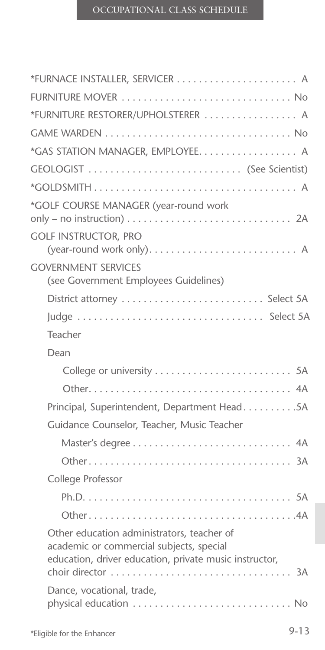| FURNITURE MOVER  No                                                                                                                              |
|--------------------------------------------------------------------------------------------------------------------------------------------------|
| *FURNITURE RESTORER/UPHOLSTERER  A                                                                                                               |
|                                                                                                                                                  |
| *GAS STATION MANAGER, EMPLOYEE. A                                                                                                                |
|                                                                                                                                                  |
|                                                                                                                                                  |
| *GOLF COURSE MANAGER (year-round work                                                                                                            |
| <b>GOLF INSTRUCTOR, PRO</b><br>(year-round work only) A                                                                                          |
| <b>GOVERNMENT SERVICES</b><br>(see Government Employees Guidelines)                                                                              |
|                                                                                                                                                  |
| Judge  Select 5A                                                                                                                                 |
| Teacher                                                                                                                                          |
| Dean                                                                                                                                             |
|                                                                                                                                                  |
|                                                                                                                                                  |
| Principal, Superintendent, Department Head5A                                                                                                     |
| Guidance Counselor, Teacher, Music Teacher                                                                                                       |
|                                                                                                                                                  |
|                                                                                                                                                  |
| College Professor                                                                                                                                |
|                                                                                                                                                  |
|                                                                                                                                                  |
| Other education administrators, teacher of<br>academic or commercial subjects, special<br>education, driver education, private music instructor, |
| Dance, vocational, trade,                                                                                                                        |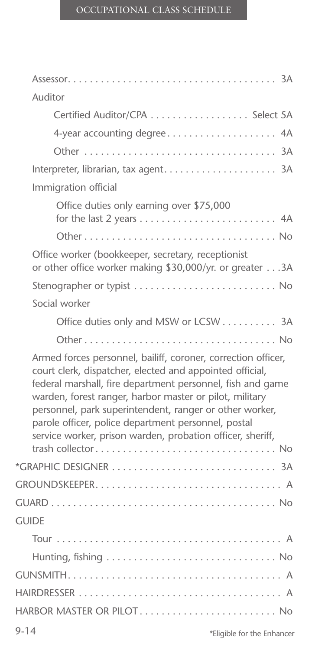| Auditor                                                                                                                                                                                                                                                                                                                                                                                                                            |
|------------------------------------------------------------------------------------------------------------------------------------------------------------------------------------------------------------------------------------------------------------------------------------------------------------------------------------------------------------------------------------------------------------------------------------|
| Certified Auditor/CPA  Select 5A                                                                                                                                                                                                                                                                                                                                                                                                   |
| 4-year accounting degree 4A                                                                                                                                                                                                                                                                                                                                                                                                        |
|                                                                                                                                                                                                                                                                                                                                                                                                                                    |
| Interpreter, librarian, tax agent 3A                                                                                                                                                                                                                                                                                                                                                                                               |
| Immigration official                                                                                                                                                                                                                                                                                                                                                                                                               |
| Office duties only earning over \$75,000                                                                                                                                                                                                                                                                                                                                                                                           |
|                                                                                                                                                                                                                                                                                                                                                                                                                                    |
| Office worker (bookkeeper, secretary, receptionist<br>or other office worker making \$30,000/yr. or greater 3A                                                                                                                                                                                                                                                                                                                     |
|                                                                                                                                                                                                                                                                                                                                                                                                                                    |
| Social worker                                                                                                                                                                                                                                                                                                                                                                                                                      |
| Office duties only and MSW or LCSW 3A                                                                                                                                                                                                                                                                                                                                                                                              |
|                                                                                                                                                                                                                                                                                                                                                                                                                                    |
| Armed forces personnel, bailiff, coroner, correction officer,<br>court clerk, dispatcher, elected and appointed official,<br>federal marshall, fire department personnel, fish and game<br>warden, forest ranger, harbor master or pilot, military<br>personnel, park superintendent, ranger or other worker,<br>parole officer, police department personnel, postal<br>service worker, prison warden, probation officer, sheriff, |
|                                                                                                                                                                                                                                                                                                                                                                                                                                    |
|                                                                                                                                                                                                                                                                                                                                                                                                                                    |
|                                                                                                                                                                                                                                                                                                                                                                                                                                    |
| <b>GUIDE</b>                                                                                                                                                                                                                                                                                                                                                                                                                       |
|                                                                                                                                                                                                                                                                                                                                                                                                                                    |
|                                                                                                                                                                                                                                                                                                                                                                                                                                    |
|                                                                                                                                                                                                                                                                                                                                                                                                                                    |
|                                                                                                                                                                                                                                                                                                                                                                                                                                    |
| HARBOR MASTER OR PILOT No                                                                                                                                                                                                                                                                                                                                                                                                          |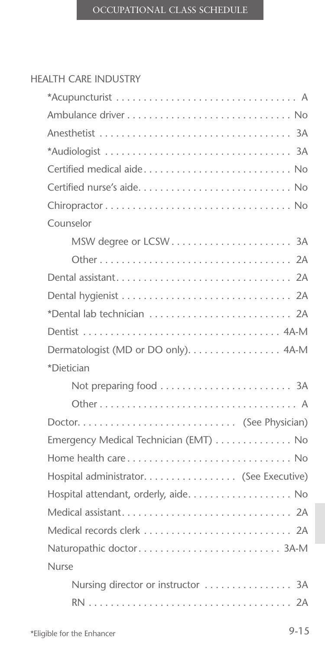### HEALTH CARE INDUSTRY

| Certified medical aide No               |
|-----------------------------------------|
|                                         |
|                                         |
| Counselor                               |
|                                         |
|                                         |
|                                         |
|                                         |
| *Dental lab technician  2A              |
|                                         |
| Dermatologist (MD or DO only). 4A-M     |
| *Dietician                              |
|                                         |
|                                         |
|                                         |
| Emergency Medical Technician (EMT)  No  |
|                                         |
| Hospital administrator. (See Executive) |
| Hospital attendant, orderly, aide. No   |
|                                         |
|                                         |
|                                         |
| <b>Nurse</b>                            |
| Nursing director or instructor  3A      |
|                                         |
|                                         |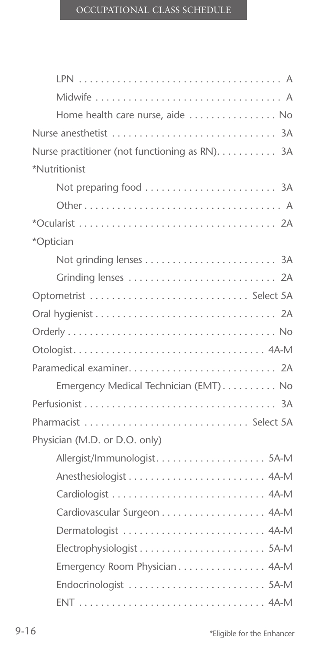| Home health care nurse, aide  No               |
|------------------------------------------------|
|                                                |
| Nurse practitioner (not functioning as RN). 3A |
| *Nutritionist                                  |
|                                                |
|                                                |
|                                                |
| *Optician                                      |
|                                                |
| Grinding lenses  2A                            |
|                                                |
|                                                |
|                                                |
|                                                |
|                                                |
| Emergency Medical Technician (EMT) No          |
|                                                |
| Pharmacist  Select 5A                          |
| Physician (M.D. or D.O. only)                  |
|                                                |
|                                                |
|                                                |
| Cardiovascular Surgeon 4A-M                    |
|                                                |
|                                                |
| Emergency Room Physician 4A-M                  |
|                                                |
|                                                |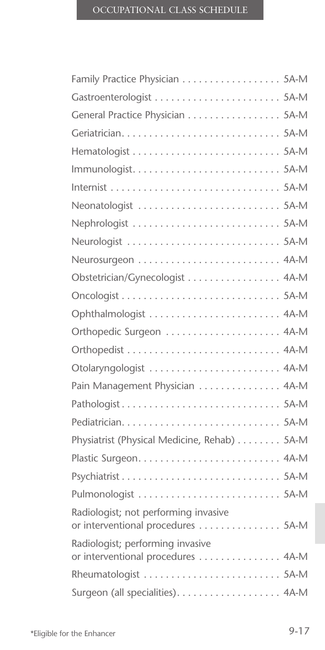| Family Practice Physician 5A-M                                            |
|---------------------------------------------------------------------------|
|                                                                           |
| General Practice Physician 5A-M                                           |
|                                                                           |
|                                                                           |
|                                                                           |
|                                                                           |
| Neonatologist  5A-M                                                       |
|                                                                           |
|                                                                           |
|                                                                           |
| Obstetrician/Gynecologist 4A-M                                            |
|                                                                           |
|                                                                           |
|                                                                           |
|                                                                           |
| Otolaryngologist  4A-M                                                    |
| Pain Management Physician  4A-M                                           |
|                                                                           |
|                                                                           |
| Physiatrist (Physical Medicine, Rehab) 5A-M                               |
|                                                                           |
|                                                                           |
|                                                                           |
| Radiologist; not performing invasive<br>or interventional procedures 5A-M |
| Radiologist; performing invasive<br>or interventional procedures 4A-M     |
| Rheumatologist  5A-M                                                      |
| Surgeon (all specialities). 4A-M                                          |
|                                                                           |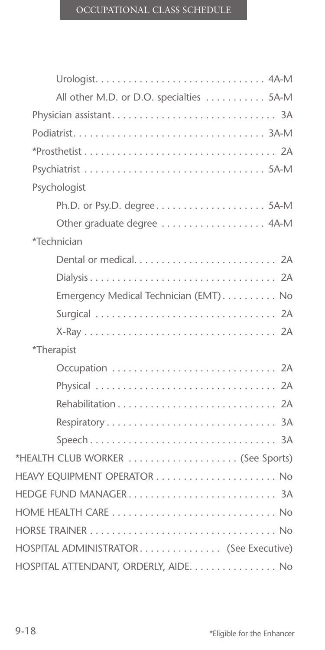| All other M.D. or D.O. specialties 5A-M |
|-----------------------------------------|
|                                         |
|                                         |
|                                         |
|                                         |
| Psychologist                            |
|                                         |
| Other graduate degree  4A-M             |
| *Technician                             |
|                                         |
|                                         |
| Emergency Medical Technician (EMT) No   |
|                                         |
|                                         |
| *Therapist                              |
|                                         |
|                                         |
|                                         |
|                                         |
|                                         |
| *HEALTH CLUB WORKER  (See Sports)       |
|                                         |
| HEDGE FUND MANAGER 3A                   |
|                                         |
|                                         |
| HOSPITAL ADMINISTRATOR (See Executive)  |
| HOSPITAL ATTENDANT, ORDERLY, AIDE. No   |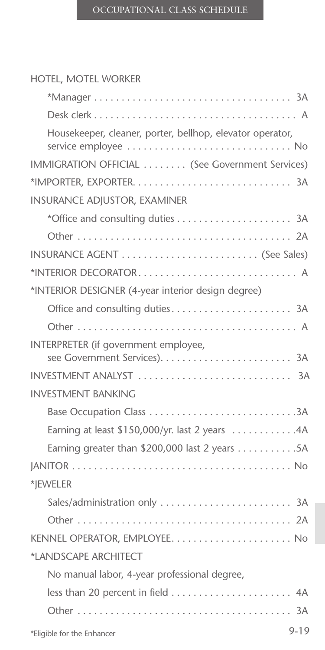## HOTEL, MOTEL WORKER

| Housekeeper, cleaner, porter, bellhop, elevator operator,          |
|--------------------------------------------------------------------|
| IMMIGRATION OFFICIAL  (See Government Services)                    |
|                                                                    |
| <b>INSURANCE ADJUSTOR, EXAMINER</b>                                |
|                                                                    |
|                                                                    |
|                                                                    |
| *INTERIOR DECORATOR A                                              |
| *INTERIOR DESIGNER (4-year interior design degree)                 |
|                                                                    |
|                                                                    |
| INTERPRETER (if government employee,                               |
|                                                                    |
| <b>INVESTMENT BANKING</b>                                          |
|                                                                    |
| Earning at least \$150,000/yr. last 2 years 4A                     |
| Earning greater than \$200,000 last 2 years $\dots \dots \dots 5A$ |
|                                                                    |
| *JEWELER                                                           |
| Sales/administration only  3A                                      |
|                                                                    |
|                                                                    |
| *LANDSCAPE ARCHITECT                                               |
| No manual labor, 4-year professional degree,                       |
| less than 20 percent in field  4A                                  |
|                                                                    |
| $9 - 19$<br>*Eligible for the Enhancer                             |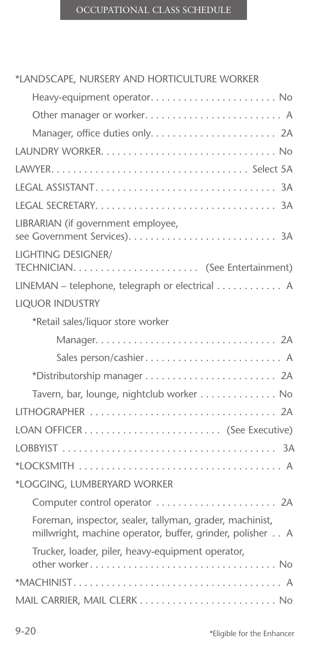## \*LANDSCAPE, NURSERY AND HORTICULTURE WORKER

| Heavy-equipment operator No                                                                                           |
|-----------------------------------------------------------------------------------------------------------------------|
| Other manager or worker A                                                                                             |
|                                                                                                                       |
|                                                                                                                       |
|                                                                                                                       |
|                                                                                                                       |
|                                                                                                                       |
| LIBRARIAN (if government employee,                                                                                    |
| <b>LIGHTING DESIGNER/</b>                                                                                             |
|                                                                                                                       |
| LINEMAN - telephone, telegraph or electrical A                                                                        |
| <b>LIQUOR INDUSTRY</b>                                                                                                |
| *Retail sales/liquor store worker                                                                                     |
|                                                                                                                       |
| Sales person/cashier A                                                                                                |
|                                                                                                                       |
| Tavern, bar, lounge, nightclub worker No                                                                              |
| LITHOGRAPHER  2A                                                                                                      |
|                                                                                                                       |
|                                                                                                                       |
|                                                                                                                       |
| *LOGGING, LUMBERYARD WORKER                                                                                           |
| Computer control operator  2A                                                                                         |
| Foreman, inspector, sealer, tallyman, grader, machinist,<br>millwright, machine operator, buffer, grinder, polisher A |
| Trucker, loader, piler, heavy-equipment operator,                                                                     |
|                                                                                                                       |
|                                                                                                                       |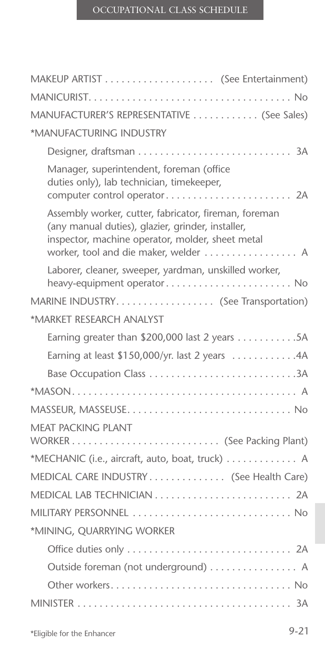| MANUFACTURER'S REPRESENTATIVE  (See Sales)                                                                                                                                                              |
|---------------------------------------------------------------------------------------------------------------------------------------------------------------------------------------------------------|
| *MANUFACTURING INDUSTRY                                                                                                                                                                                 |
|                                                                                                                                                                                                         |
| Manager, superintendent, foreman (office<br>duties only), lab technician, timekeeper,                                                                                                                   |
| Assembly worker, cutter, fabricator, fireman, foreman<br>(any manual duties), glazier, grinder, installer,<br>inspector, machine operator, molder, sheet metal<br>worker, tool and die maker, welder  A |
| Laborer, cleaner, sweeper, yardman, unskilled worker,<br>heavy-equipment operator No                                                                                                                    |
| MARINE INDUSTRY. (See Transportation)                                                                                                                                                                   |
| *MARKET RESEARCH ANALYST                                                                                                                                                                                |
| Earning greater than \$200,000 last 2 years 5A                                                                                                                                                          |
| Earning at least \$150,000/yr. last 2 years 4A                                                                                                                                                          |
| Base Occupation Class 3A                                                                                                                                                                                |
|                                                                                                                                                                                                         |
|                                                                                                                                                                                                         |
| MEAT PACKING PLANT                                                                                                                                                                                      |
|                                                                                                                                                                                                         |
| *MECHANIC (i.e., aircraft, auto, boat, truck) A                                                                                                                                                         |
| MEDICAL CARE INDUSTRY (See Health Care)                                                                                                                                                                 |
|                                                                                                                                                                                                         |
| MILITARY PERSONNEL  No                                                                                                                                                                                  |
| *MINING, QUARRYING WORKER                                                                                                                                                                               |
|                                                                                                                                                                                                         |
| Outside foreman (not underground)  A                                                                                                                                                                    |
|                                                                                                                                                                                                         |
|                                                                                                                                                                                                         |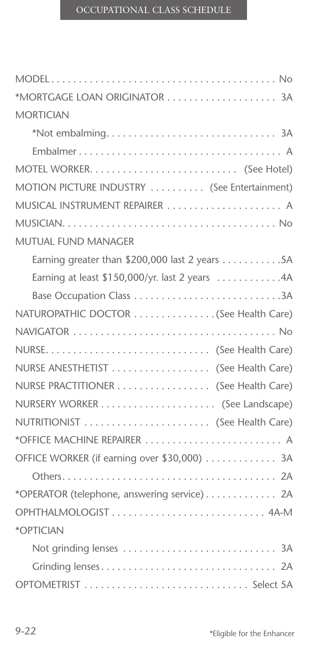| *MORTGAGE LOAN ORIGINATOR  3A                  |
|------------------------------------------------|
| <b>MORTICIAN</b>                               |
|                                                |
|                                                |
|                                                |
| MOTION PICTURE INDUSTRY  (See Entertainment)   |
| MUSICAL INSTRUMENT REPAIRER  A                 |
|                                                |
| MUTUAL FUND MANAGER                            |
|                                                |
| Earning at least \$150,000/yr. last 2 years 4A |
| Base Occupation Class 3A                       |
| NATUROPATHIC DOCTOR (See Health Care)          |
|                                                |
|                                                |
| NURSE ANESTHETIST  (See Health Care)           |
| NURSE PRACTITIONER (See Health Care)           |
|                                                |
| NUTRITIONIST  (See Health Care)                |
| *OFFICE MACHINE REPAIRER  A                    |
| OFFICE WORKER (if earning over \$30,000)  3A   |
|                                                |
| *OPERATOR (telephone, answering service) 2A    |
| OPHTHALMOLOGIST 4A-M                           |
| *OPTICIAN                                      |
|                                                |
|                                                |
|                                                |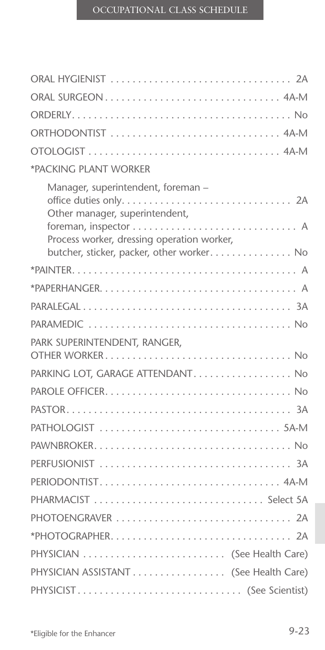| ORAL SURGEON 4A-M                                                                                                                                               |
|-----------------------------------------------------------------------------------------------------------------------------------------------------------------|
|                                                                                                                                                                 |
| ORTHODONTIST  4A-M                                                                                                                                              |
|                                                                                                                                                                 |
| *PACKING PLANT WORKER                                                                                                                                           |
| Manager, superintendent, foreman -<br>Other manager, superintendent,<br>Process worker, dressing operation worker,<br>butcher, sticker, packer, other worker No |
|                                                                                                                                                                 |
|                                                                                                                                                                 |
|                                                                                                                                                                 |
|                                                                                                                                                                 |
| PARK SUPERINTENDENT, RANGER,                                                                                                                                    |
| PARKING LOT, GARAGE ATTENDANT No                                                                                                                                |
|                                                                                                                                                                 |
|                                                                                                                                                                 |
|                                                                                                                                                                 |
|                                                                                                                                                                 |
|                                                                                                                                                                 |
|                                                                                                                                                                 |
|                                                                                                                                                                 |
| PHOTOENGRAVER  2A                                                                                                                                               |
|                                                                                                                                                                 |
| PHYSICIAN  (See Health Care)                                                                                                                                    |
| PHYSICIAN ASSISTANT (See Health Care)                                                                                                                           |
| PHYSICIST (See Scientist)                                                                                                                                       |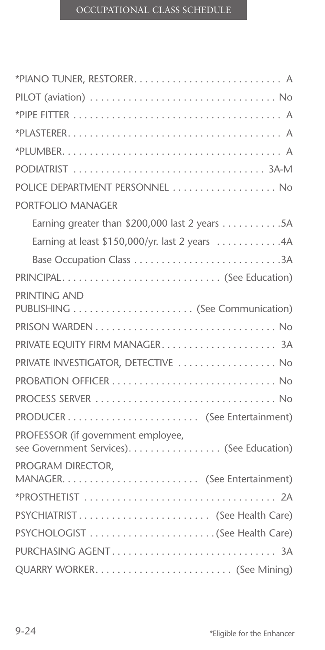| POLICE DEPARTMENT PERSONNEL  No                                                 |
|---------------------------------------------------------------------------------|
| PORTFOLIO MANAGER                                                               |
|                                                                                 |
| Earning at least \$150,000/yr. last 2 years 4A                                  |
|                                                                                 |
| PRINCIPAL (See Education)                                                       |
| PRINTING AND                                                                    |
|                                                                                 |
|                                                                                 |
| PRIVATE INVESTIGATOR, DETECTIVE  No                                             |
|                                                                                 |
|                                                                                 |
|                                                                                 |
| PROFESSOR (if government employee,<br>see Government Services). (See Education) |
| PROGRAM DIRECTOR,                                                               |
|                                                                                 |
| PSYCHIATRIST (See Health Care)                                                  |
|                                                                                 |
|                                                                                 |
|                                                                                 |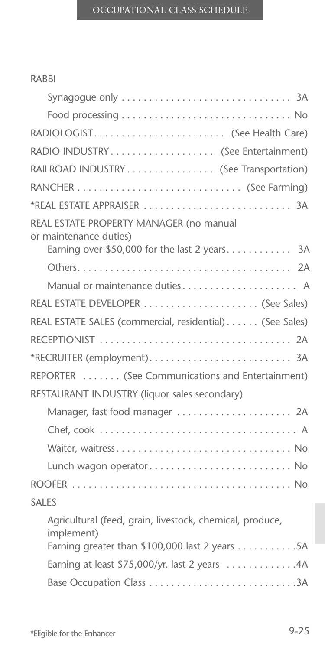#### RABBI

|        | RADIOLOGIST (See Health Care)                                                                                            |
|--------|--------------------------------------------------------------------------------------------------------------------------|
|        | RADIO INDUSTRY (See Entertainment)                                                                                       |
|        | RAILROAD INDUSTRY (See Transportation)                                                                                   |
|        |                                                                                                                          |
|        |                                                                                                                          |
|        | REAL ESTATE PROPERTY MANAGER (no manual<br>or maintenance duties)<br>Earning over \$50,000 for the last 2 years 3A       |
|        |                                                                                                                          |
|        | Manual or maintenance duties A                                                                                           |
|        |                                                                                                                          |
|        | REAL ESTATE SALES (commercial, residential) (See Sales)                                                                  |
|        |                                                                                                                          |
|        |                                                                                                                          |
|        | REPORTER  (See Communications and Entertainment)                                                                         |
|        | RESTAURANT INDUSTRY (liquor sales secondary)                                                                             |
|        | Manager, fast food manager  2A                                                                                           |
|        |                                                                                                                          |
|        |                                                                                                                          |
|        |                                                                                                                          |
|        |                                                                                                                          |
| SAI ES |                                                                                                                          |
|        | Agricultural (feed, grain, livestock, chemical, produce,<br>implement)<br>Earning greater than \$100,000 last 2 years 5A |
|        | Earning at least \$75,000/yr. last 2 years 4A                                                                            |
|        |                                                                                                                          |
|        |                                                                                                                          |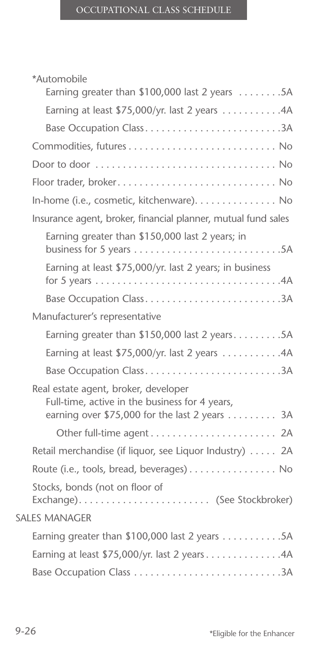| *Automobile<br>Earning greater than $$100,000$ last 2 years 5A                                                                           |
|------------------------------------------------------------------------------------------------------------------------------------------|
|                                                                                                                                          |
| Earning at least \$75,000/yr. last 2 years 4A                                                                                            |
| Base Occupation Class3A                                                                                                                  |
|                                                                                                                                          |
|                                                                                                                                          |
| Floor trader, broker No                                                                                                                  |
| In-home (i.e., cosmetic, kitchenware). No                                                                                                |
| Insurance agent, broker, financial planner, mutual fund sales                                                                            |
| Earning greater than \$150,000 last 2 years; in                                                                                          |
| Earning at least \$75,000/yr. last 2 years; in business                                                                                  |
| Base Occupation Class3A                                                                                                                  |
| Manufacturer's representative                                                                                                            |
| Earning greater than $$150,000$ last 2 years5A                                                                                           |
| Earning at least \$75,000/yr. last 2 years 4A                                                                                            |
| Base Occupation Class3A                                                                                                                  |
| Real estate agent, broker, developer<br>Full-time, active in the business for 4 years,<br>earning over \$75,000 for the last 2 years  3A |
|                                                                                                                                          |
| Retail merchandise (if liquor, see Liquor Industry)  2A                                                                                  |
| Route (i.e., tools, bread, beverages) No                                                                                                 |
| Stocks, bonds (not on floor of<br>Exchange) (See Stockbroker)                                                                            |
| <b>SALES MANAGER</b>                                                                                                                     |
| Earning greater than \$100,000 last 2 years 5A                                                                                           |
| Earning at least \$75,000/yr. last 2 years 4A                                                                                            |
|                                                                                                                                          |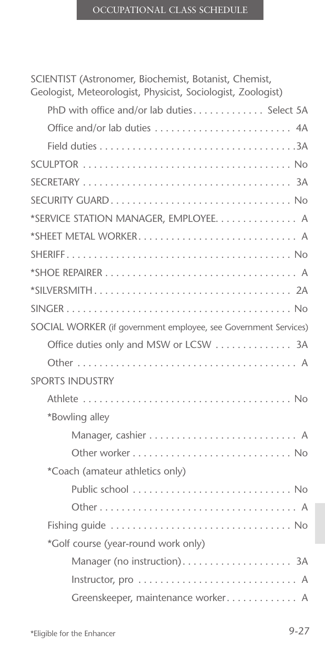SCIENTIST (Astronomer, Biochemist, Botanist, Chemist, Geologist, Meteorologist, Physicist, Sociologist, Zoologist)

| PhD with office and/or lab duties Select 5A                     |  |
|-----------------------------------------------------------------|--|
|                                                                 |  |
|                                                                 |  |
|                                                                 |  |
|                                                                 |  |
| SECURITY GUARD No                                               |  |
| *SERVICE STATION MANAGER, EMPLOYEE. A                           |  |
|                                                                 |  |
|                                                                 |  |
|                                                                 |  |
|                                                                 |  |
|                                                                 |  |
| SOCIAL WORKER (if government employee, see Government Services) |  |
| Office duties only and MSW or LCSW  3A                          |  |
|                                                                 |  |
| <b>SPORTS INDUSTRY</b>                                          |  |
|                                                                 |  |
| *Bowling alley                                                  |  |
|                                                                 |  |
|                                                                 |  |
| *Coach (amateur athletics only)                                 |  |
|                                                                 |  |
|                                                                 |  |
|                                                                 |  |
| *Golf course (year-round work only)                             |  |
|                                                                 |  |
|                                                                 |  |
| Greenskeeper, maintenance worker A                              |  |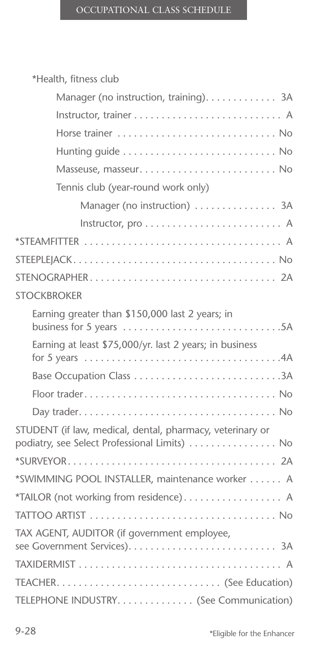| *Health, fitness club                                                                                                                                        |
|--------------------------------------------------------------------------------------------------------------------------------------------------------------|
| Manager (no instruction, training). 3A                                                                                                                       |
|                                                                                                                                                              |
|                                                                                                                                                              |
|                                                                                                                                                              |
|                                                                                                                                                              |
| Tennis club (year-round work only)                                                                                                                           |
| Manager (no instruction)  3A                                                                                                                                 |
|                                                                                                                                                              |
|                                                                                                                                                              |
|                                                                                                                                                              |
|                                                                                                                                                              |
| <b>STOCKBROKER</b>                                                                                                                                           |
| Earning greater than \$150,000 last 2 years; in                                                                                                              |
| Earning at least \$75,000/yr. last 2 years; in business<br>for 5 years $\ldots \ldots \ldots \ldots \ldots \ldots \ldots \ldots \ldots \ldots \ldots \ldots$ |
| Base Occupation Class 3A                                                                                                                                     |
|                                                                                                                                                              |
|                                                                                                                                                              |
| STUDENT (if law, medical, dental, pharmacy, veterinary or<br>podiatry, see Select Professional Limits)  No                                                   |
|                                                                                                                                                              |
| *SWIMMING POOL INSTALLER, maintenance worker A                                                                                                               |
| *TAILOR (not working from residence) A                                                                                                                       |
|                                                                                                                                                              |
| TAX AGENT, AUDITOR (if government employee,                                                                                                                  |
|                                                                                                                                                              |
|                                                                                                                                                              |
| TELEPHONE INDUSTRY. (See Communication)                                                                                                                      |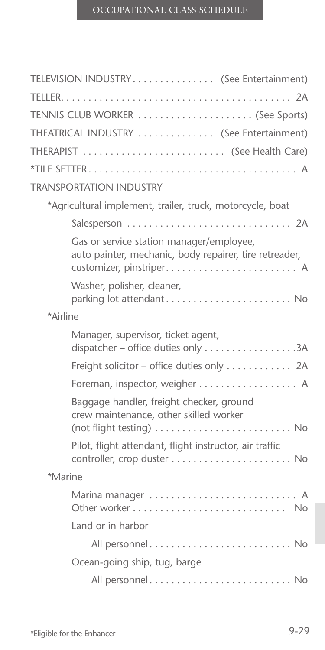|          | TELEVISION INDUSTRY (See Entertainment)                                                            |  |
|----------|----------------------------------------------------------------------------------------------------|--|
|          |                                                                                                    |  |
|          | TENNIS CLUB WORKER  (See Sports)                                                                   |  |
|          | THEATRICAL INDUSTRY  (See Entertainment)                                                           |  |
|          | THERAPIST  (See Health Care)                                                                       |  |
|          |                                                                                                    |  |
|          | <b>TRANSPORTATION INDUSTRY</b>                                                                     |  |
|          | *Agricultural implement, trailer, truck, motorcycle, boat                                          |  |
|          | Salesperson  2A                                                                                    |  |
|          | Gas or service station manager/employee,<br>auto painter, mechanic, body repairer, tire retreader, |  |
|          | Washer, polisher, cleaner,<br>parking lot attendant No                                             |  |
| *Airline |                                                                                                    |  |
|          | Manager, supervisor, ticket agent,                                                                 |  |
|          | Freight solicitor - office duties only 2A                                                          |  |
|          | Foreman, inspector, weigher A                                                                      |  |
|          | Baggage handler, freight checker, ground<br>crew maintenance, other skilled worker                 |  |
|          | Pilot, flight attendant, flight instructor, air traffic                                            |  |
| *Marine  |                                                                                                    |  |
|          | Marina manager  A                                                                                  |  |
|          | Land or in harbor                                                                                  |  |
|          | All personnel No                                                                                   |  |
|          | Ocean-going ship, tug, barge                                                                       |  |
|          | All personnel No                                                                                   |  |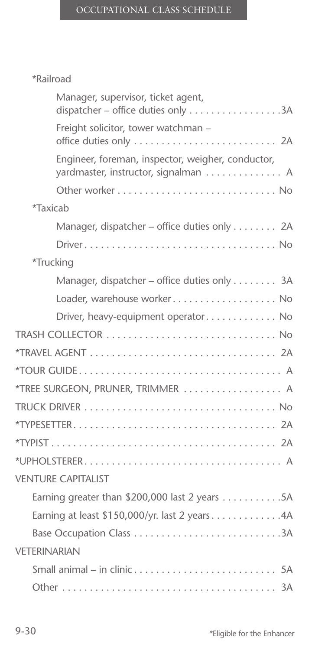## \*Railroad

| Manager, supervisor, ticket agent,<br>dispatcher - office duties only 3A                  |
|-------------------------------------------------------------------------------------------|
| Freight solicitor, tower watchman -                                                       |
| Engineer, foreman, inspector, weigher, conductor,<br>yardmaster, instructor, signalman  A |
|                                                                                           |
| *Taxicab                                                                                  |
| Manager, dispatcher - office duties only 2A                                               |
|                                                                                           |
| *Trucking                                                                                 |
| Manager, dispatcher – office duties only 3A                                               |
| Loader, warehouse worker No                                                               |
| Driver, heavy-equipment operator No                                                       |
|                                                                                           |
|                                                                                           |
|                                                                                           |
| *TREE SURGEON, PRUNER, TRIMMER  A                                                         |
|                                                                                           |
|                                                                                           |
|                                                                                           |
|                                                                                           |
| <b>VENTURE CAPITALIST</b>                                                                 |
| Earning greater than \$200,000 last 2 years $\dots \dots \dots 5A$                        |
| Earning at least \$150,000/yr. last 2 years4A                                             |
| Base Occupation Class 3A                                                                  |
| VFTFRINARIAN                                                                              |
|                                                                                           |
|                                                                                           |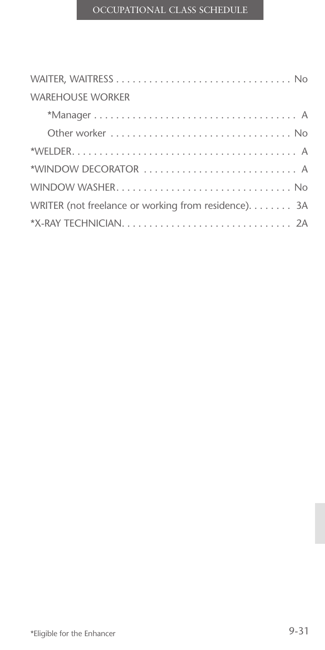| <b>WAREHOUSE WORKER</b>                              |  |  |  |
|------------------------------------------------------|--|--|--|
|                                                      |  |  |  |
|                                                      |  |  |  |
|                                                      |  |  |  |
| *WINDOW DECORATOR  A                                 |  |  |  |
|                                                      |  |  |  |
| WRITER (not freelance or working from residence). 3A |  |  |  |
|                                                      |  |  |  |